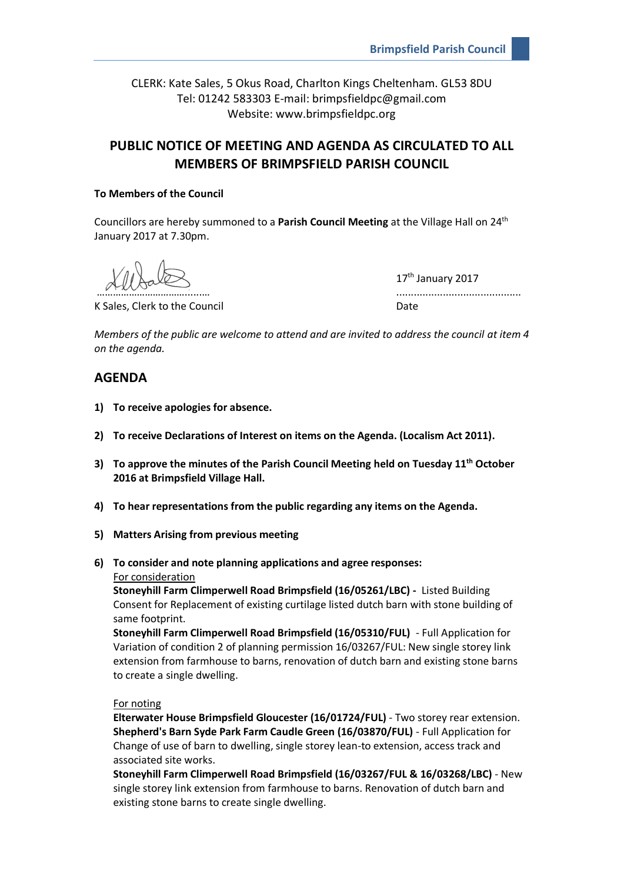CLERK: Kate Sales, 5 Okus Road, Charlton Kings Cheltenham. GL53 8DU Tel: 01242 583303 E-mail: brimpsfieldpc@gmail.com Website: www.brimpsfieldpc.org

# **PUBLIC NOTICE OF MEETING AND AGENDA AS CIRCULATED TO ALL MEMBERS OF BRIMPSFIELD PARISH COUNCIL**

#### **To Members of the Council**

Councillors are hereby summoned to a **Parish Council Meeting** at the Village Hall on 24th January 2017 at 7.30pm.

K Sales, Clerk to the Council Date Council Date

17<sup>th</sup> January 2017 ……………………………………………

*Members of the public are welcome to attend and are invited to address the council at item 4 on the agenda.*

## **AGENDA**

- **1) To receive apologies for absence.**
- **2) To receive Declarations of Interest on items on the Agenda. (Localism Act 2011).**
- **3) To approve the minutes of the Parish Council Meeting held on Tuesday 11 th October 2016 at Brimpsfield Village Hall.**
- **4) To hear representations from the public regarding any items on the Agenda.**
- **5) Matters Arising from previous meeting**
- **6) To consider and note planning applications and agree responses:** For consideration

**Stoneyhill Farm Climperwell Road Brimpsfield (16/05261/LBC) -** Listed Building Consent for Replacement of existing curtilage listed dutch barn with stone building of same footprint.

**Stoneyhill Farm Climperwell Road Brimpsfield (16/05310/FUL)** - Full Application for Variation of condition 2 of planning permission 16/03267/FUL: New single storey link extension from farmhouse to barns, renovation of dutch barn and existing stone barns to create a single dwelling.

#### For noting

**Elterwater House Brimpsfield Gloucester (16/01724/FUL)** - Two storey rear extension. **Shepherd's Barn Syde Park Farm Caudle Green (16/03870/FUL)** - Full Application for Change of use of barn to dwelling, single storey lean-to extension, access track and associated site works.

**Stoneyhill Farm Climperwell Road Brimpsfield (16/03267/FUL & 16/03268/LBC)** - New single storey link extension from farmhouse to barns. Renovation of dutch barn and existing stone barns to create single dwelling.